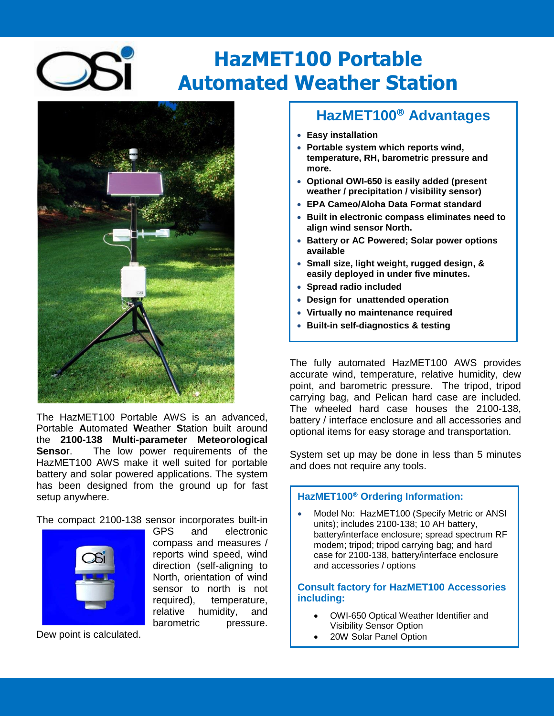# **HazMET100 Portable Automated Weather Station**



The HazMET100 Portable AWS is an advanced, Portable **A**utomated **W**eather **S**tation built around the **2100-138 Multi-parameter Meteorological Senso**r. The low power requirements of the HazMET100 AWS make it well suited for portable battery and solar powered applications. The system has been designed from the ground up for fast setup anywhere.

The compact 2100-138 sensor incorporates built-in



GPS and electronic compass and measures / reports wind speed, wind direction (self-aligning to North, orientation of wind sensor to north is not required), temperature, relative humidity, and barometric pressure.

Dew point is calculated.

# **HazMET100 Advantages**

- **Easy installation**
- **Portable system which reports wind, temperature, RH, barometric pressure and more.**
- **Optional OWI-650 is easily added (present weather / precipitation / visibility sensor)**
- **EPA Cameo/Aloha Data Format standard**
- **Built in electronic compass eliminates need to align wind sensor North.**
- **Battery or AC Powered; Solar power options available**
- **Small size, light weight, rugged design, & easily deployed in under five minutes.**
- **Spread radio included**
- **Design for unattended operation**
- **Virtually no maintenance required**
- **Built-in self-diagnostics & testing**

The fully automated HazMET100 AWS provides accurate wind, temperature, relative humidity, dew point, and barometric pressure. The tripod, tripod carrying bag, and Pelican hard case are included. The wheeled hard case houses the 2100-138, battery / interface enclosure and all accessories and optional items for easy storage and transportation.

System set up may be done in less than 5 minutes and does not require any tools.

#### **HazMET100 Ordering Information:**

 Model No: HazMET100 (Specify Metric or ANSI units); includes 2100-138; 10 AH battery, battery/interface enclosure; spread spectrum RF modem; tripod; tripod carrying bag; and hard case for 2100-138, battery/interface enclosure and accessories / options

### **Consult factory for HazMET100 Accessories including:**

- OWI-650 Optical Weather Identifier and Visibility Sensor Option
- 20W Solar Panel Option

Solar power kits